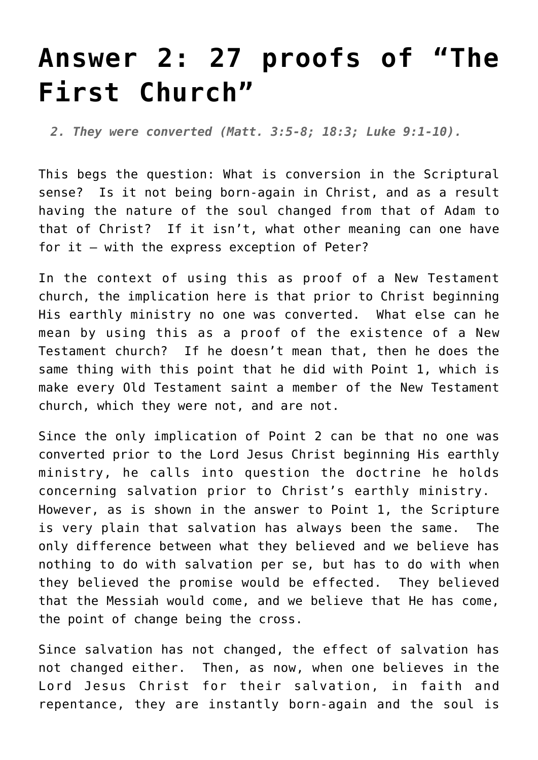## **[Answer 2: 27 proofs of "The](http://reproachofmen.org/the-church/s-e-andersons-the-first-church-27-proofs/answer-2-27-proofs-of-the-first-church/) [First Church"](http://reproachofmen.org/the-church/s-e-andersons-the-first-church-27-proofs/answer-2-27-proofs-of-the-first-church/)**

*2. They were converted (Matt. 3:5-8; 18:3; Luke 9:1-10).*

This begs the question: What is conversion in the Scriptural sense? Is it not being born-again in Christ, and as a result having the nature of the soul changed from that of Adam to that of Christ? If it isn't, what other meaning can one have for it — with the express exception of Peter?

In the context of using this as proof of a New Testament church, the implication here is that prior to Christ beginning His earthly ministry no one was converted. What else can he mean by using this as a proof of the existence of a New Testament church? If he doesn't mean that, then he does the same thing with this point that he did with [Point 1](http://www.reproachofmen.org/the-church/s-e-andersons-the-first-church-27-proofs/answer-1-27-proofs-of-the-first-church/), which is make every Old Testament saint a member of the New Testament church, which they were not, and are not.

Since the only implication of Point 2 can be that no one was converted prior to the Lord Jesus Christ beginning His earthly ministry, he calls into question the doctrine he holds concerning salvation prior to Christ's earthly ministry. However, as is shown in the answer to [Point 1,](http://www.reproachofmen.org/the-church/s-e-andersons-the-first-church-27-proofs/answer-1-27-proofs-of-the-first-church/) the Scripture is very plain that salvation has always been the same. The only difference between what they believed and we believe has nothing to do with salvation per se, but has to do with when they believed the promise would be effected. They believed that the Messiah would come, and we believe that He has come, the point of change being the cross.

Since salvation has not changed, the effect of salvation has not changed either. Then, as now, when one believes in the Lord Jesus Christ for their salvation, in faith and repentance, they are instantly born-again and the soul is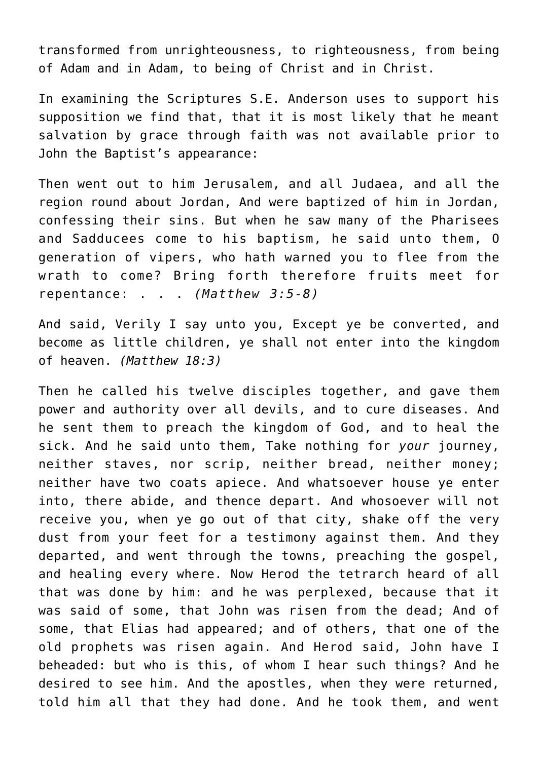transformed from unrighteousness, to righteousness, from being of Adam and in Adam, to being of Christ and in Christ.

In examining the Scriptures S.E. Anderson uses to support his supposition we find that, that it is most likely that he meant salvation by grace through faith was not available prior to John the Baptist's appearance:

Then went out to him Jerusalem, and all Judaea, and all the region round about Jordan, And were baptized of him in Jordan, confessing their sins. But when he saw many of the Pharisees and Sadducees come to his baptism, he said unto them, O generation of vipers, who hath warned you to flee from the wrath to come? Bring forth therefore fruits meet for repentance: . . . *(Matthew 3:5-8)*

And said, Verily I say unto you, Except ye be converted, and become as little children, ye shall not enter into the kingdom of heaven. *(Matthew 18:3)*

Then he called his twelve disciples together, and gave them power and authority over all devils, and to cure diseases. And he sent them to preach the kingdom of God, and to heal the sick. And he said unto them, Take nothing for *your* journey, neither staves, nor scrip, neither bread, neither money; neither have two coats apiece. And whatsoever house ye enter into, there abide, and thence depart. And whosoever will not receive you, when ye go out of that city, shake off the very dust from your feet for a testimony against them. And they departed, and went through the towns, preaching the gospel, and healing every where. Now Herod the tetrarch heard of all that was done by him: and he was perplexed, because that it was said of some, that John was risen from the dead; And of some, that Elias had appeared; and of others, that one of the old prophets was risen again. And Herod said, John have I beheaded: but who is this, of whom I hear such things? And he desired to see him. And the apostles, when they were returned, told him all that they had done. And he took them, and went